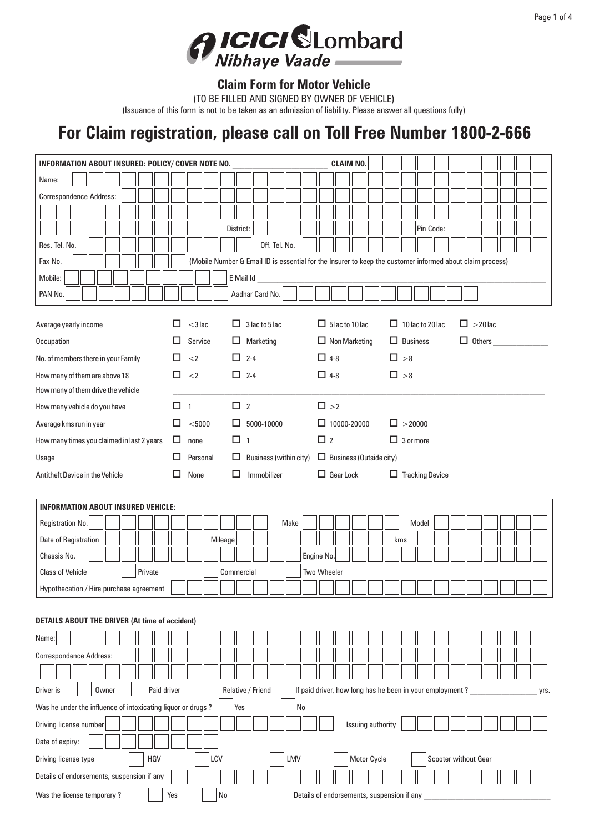

## **Claim Form for Motor Vehicle**

(TO BE FILLED AND SIGNED BY OWNER OF VEHICLE)

(Issuance of this form is not to be taken as an admission of liability. Please answer all questions fully)

## **For Claim registration, please call on Toll Free Number 1800-2-666**

| INFORMATION ABOUT INSURED: POLICY/ COVER NOTE NO.           | <b>CLAIM NO.</b> |                                                                                                           |         |                   |                        |               |      |            |                                                          |  |                             |                  |                 |                  |                      |  |    |  |               |  |  |  |      |
|-------------------------------------------------------------|------------------|-----------------------------------------------------------------------------------------------------------|---------|-------------------|------------------------|---------------|------|------------|----------------------------------------------------------|--|-----------------------------|------------------|-----------------|------------------|----------------------|--|----|--|---------------|--|--|--|------|
| Name:                                                       |                  |                                                                                                           |         |                   |                        |               |      |            |                                                          |  |                             |                  |                 |                  |                      |  |    |  |               |  |  |  |      |
| Correspondence Address:                                     |                  |                                                                                                           |         |                   |                        |               |      |            |                                                          |  |                             |                  |                 |                  |                      |  |    |  |               |  |  |  |      |
|                                                             |                  |                                                                                                           |         |                   |                        |               |      |            |                                                          |  |                             |                  |                 |                  |                      |  |    |  |               |  |  |  |      |
|                                                             |                  |                                                                                                           |         | District:         |                        |               |      |            |                                                          |  |                             |                  |                 | Pin Code:        |                      |  |    |  |               |  |  |  |      |
| Res. Tel. No.                                               |                  |                                                                                                           |         |                   |                        | Off. Tel. No. |      |            |                                                          |  |                             |                  |                 |                  |                      |  |    |  |               |  |  |  |      |
| Fax No.                                                     |                  | (Mobile Number & Email ID is essential for the Insurer to keep the customer informed about claim process) |         |                   |                        |               |      |            |                                                          |  |                             |                  |                 |                  |                      |  |    |  |               |  |  |  |      |
| Mobile:                                                     |                  |                                                                                                           |         | E Mail Id         |                        |               |      |            |                                                          |  |                             |                  |                 |                  |                      |  |    |  |               |  |  |  |      |
| PAN No.                                                     |                  |                                                                                                           |         | Aadhar Card No.   |                        |               |      |            |                                                          |  |                             |                  |                 |                  |                      |  |    |  |               |  |  |  |      |
| Average yearly income                                       | П                | $<$ 3 lac                                                                                                 |         | $\mathbf{L}$      | 3 lac to 5 lac         |               |      |            | $\Box$ 5 lac to 10 lac                                   |  |                             | □                |                 | 10 lac to 20 lac |                      |  | □. |  | $>$ 20 lac    |  |  |  |      |
| Occupation                                                  | ப                | Service                                                                                                   |         | ⊔                 | Marketing              |               |      |            | $\Box$ Non Marketing                                     |  |                             |                  | $\Box$ Business |                  |                      |  |    |  | $\Box$ Others |  |  |  |      |
| No. of members there in your Family                         | □                | $<$ 2                                                                                                     |         | □<br>$2 - 4$      |                        |               |      |            | $\Box$ 4-8                                               |  |                             | $\Box$ >8        |                 |                  |                      |  |    |  |               |  |  |  |      |
| How many of them are above 18                               | □                | $<$ 2                                                                                                     |         | □.<br>$2 - 4$     |                        |               |      |            | $\Box$ 4-8                                               |  |                             | $\square$ >8     |                 |                  |                      |  |    |  |               |  |  |  |      |
| How many of them drive the vehicle                          |                  |                                                                                                           |         |                   |                        |               |      |            |                                                          |  |                             |                  |                 |                  |                      |  |    |  |               |  |  |  |      |
| How many vehicle do you have                                | $\Box$ 1         |                                                                                                           |         | $\Box$ 2          |                        |               |      |            | $\square$ >2                                             |  |                             |                  |                 |                  |                      |  |    |  |               |  |  |  |      |
| Average kms run in year                                     | □                | < 5000                                                                                                    |         | ப                 | 5000-10000             |               |      |            | $\Box$ 10000-20000                                       |  |                             | $\square$ >20000 |                 |                  |                      |  |    |  |               |  |  |  |      |
| How many times you claimed in last 2 years                  | □                | none                                                                                                      |         | □ 1               |                        |               |      |            | $\square$ 2                                              |  |                             | $\Box$ 3 or more |                 |                  |                      |  |    |  |               |  |  |  |      |
| Usage                                                       | □                | Personal                                                                                                  |         | ш                 | Business (within city) |               |      |            | $\Box$ Business (Outside city)                           |  |                             |                  |                 |                  |                      |  |    |  |               |  |  |  |      |
| Antitheft Device in the Vehicle                             | ப                | None                                                                                                      |         | □<br>Immobilizer  |                        |               |      |            | $\Box$ Gear Lock                                         |  | <b>Tracking Device</b><br>ப |                  |                 |                  |                      |  |    |  |               |  |  |  |      |
|                                                             |                  |                                                                                                           |         |                   |                        |               |      |            |                                                          |  |                             |                  |                 |                  |                      |  |    |  |               |  |  |  |      |
|                                                             |                  |                                                                                                           |         |                   |                        |               |      |            |                                                          |  |                             |                  |                 |                  |                      |  |    |  |               |  |  |  |      |
| <b>INFORMATION ABOUT INSURED VEHICLE:</b>                   |                  |                                                                                                           |         |                   |                        |               |      |            |                                                          |  |                             |                  |                 |                  |                      |  |    |  |               |  |  |  |      |
| Registration No.                                            |                  |                                                                                                           |         |                   |                        |               | Make |            |                                                          |  |                             |                  |                 | Model            |                      |  |    |  |               |  |  |  |      |
| Date of Registration                                        |                  |                                                                                                           | Mileage |                   |                        |               |      |            |                                                          |  |                             | kms              |                 |                  |                      |  |    |  |               |  |  |  |      |
| Chassis No.                                                 |                  |                                                                                                           |         |                   |                        |               |      | Engine No. |                                                          |  |                             |                  |                 |                  |                      |  |    |  |               |  |  |  |      |
| <b>Class of Vehicle</b><br>Private                          |                  |                                                                                                           |         | Commercial        |                        |               |      |            | Two Wheeler                                              |  |                             |                  |                 |                  |                      |  |    |  |               |  |  |  |      |
| Hypothecation / Hire purchase agreement                     |                  |                                                                                                           |         |                   |                        |               |      |            |                                                          |  |                             |                  |                 |                  |                      |  |    |  |               |  |  |  |      |
|                                                             |                  |                                                                                                           |         |                   |                        |               |      |            |                                                          |  |                             |                  |                 |                  |                      |  |    |  |               |  |  |  |      |
| <b>DETAILS ABOUT THE DRIVER (At time of accident)</b>       |                  |                                                                                                           |         |                   |                        |               |      |            |                                                          |  |                             |                  |                 |                  |                      |  |    |  |               |  |  |  |      |
| Name:                                                       |                  |                                                                                                           |         |                   |                        |               |      |            |                                                          |  |                             |                  |                 |                  |                      |  |    |  |               |  |  |  |      |
| Correspondence Address:                                     |                  |                                                                                                           |         |                   |                        |               |      |            |                                                          |  |                             |                  |                 |                  |                      |  |    |  |               |  |  |  |      |
|                                                             |                  |                                                                                                           |         |                   |                        |               |      |            |                                                          |  |                             |                  |                 |                  |                      |  |    |  |               |  |  |  |      |
| Owner<br>Paid driver<br>Driver is                           |                  |                                                                                                           |         | Relative / Friend |                        |               |      |            | If paid driver, how long has he been in your employment? |  |                             |                  |                 |                  |                      |  |    |  |               |  |  |  | yrs. |
| Was he under the influence of intoxicating liquor or drugs? |                  |                                                                                                           |         | Yes               |                        |               |      | No         |                                                          |  |                             |                  |                 |                  |                      |  |    |  |               |  |  |  |      |
| Driving license number                                      |                  |                                                                                                           |         |                   |                        |               |      |            |                                                          |  | Issuing authority           |                  |                 |                  |                      |  |    |  |               |  |  |  |      |
| Date of expiry:                                             |                  |                                                                                                           |         |                   |                        |               |      |            |                                                          |  |                             |                  |                 |                  |                      |  |    |  |               |  |  |  |      |
| HGV<br>Driving license type                                 |                  | LCV                                                                                                       |         |                   |                        |               | LMV  |            |                                                          |  | Motor Cycle                 |                  |                 |                  | Scooter without Gear |  |    |  |               |  |  |  |      |
| Details of endorsements, suspension if any                  |                  |                                                                                                           |         |                   |                        |               |      |            |                                                          |  |                             |                  |                 |                  |                      |  |    |  |               |  |  |  |      |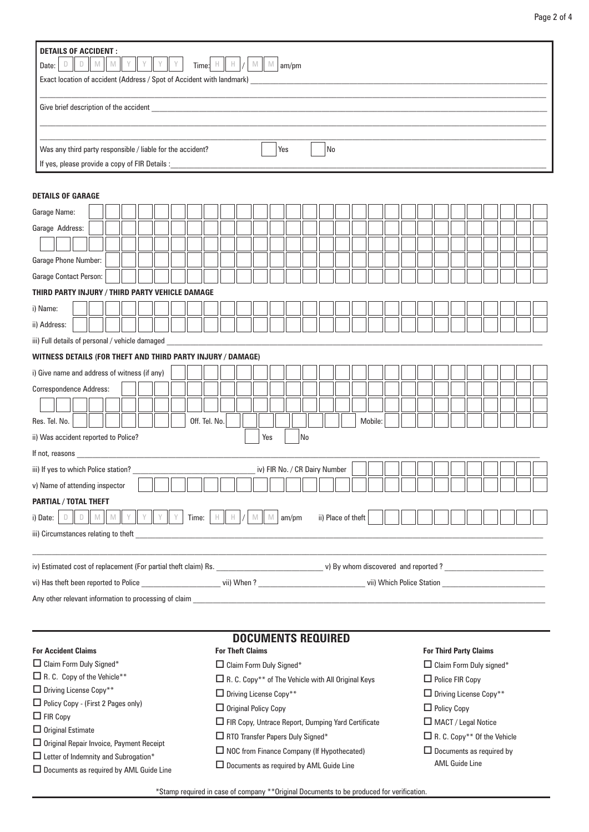| D<br>$\Box$<br>Date:                                        | M M I<br>Time: $\begin{array}{c} \n\vdash \ \parallel \ \vdash \ \mid / \mid \ \mathbb{M} \mid \ \mathbb{M} \mid \mathsf{am/pm} \n\end{array}$<br>Exact location of accident (Address / Spot of Accident with landmark) |  |  |  |  |  |       |               |  |                         |   |                                                                       |       |    |                    |  |         |  |                               |  |                       |                                |                                                |  |  |
|-------------------------------------------------------------|-------------------------------------------------------------------------------------------------------------------------------------------------------------------------------------------------------------------------|--|--|--|--|--|-------|---------------|--|-------------------------|---|-----------------------------------------------------------------------|-------|----|--------------------|--|---------|--|-------------------------------|--|-----------------------|--------------------------------|------------------------------------------------|--|--|
| Give brief description of the accident                      |                                                                                                                                                                                                                         |  |  |  |  |  |       |               |  |                         |   |                                                                       |       |    |                    |  |         |  |                               |  |                       |                                |                                                |  |  |
|                                                             |                                                                                                                                                                                                                         |  |  |  |  |  |       |               |  |                         |   |                                                                       |       |    |                    |  |         |  |                               |  |                       |                                |                                                |  |  |
|                                                             |                                                                                                                                                                                                                         |  |  |  |  |  |       |               |  |                         |   |                                                                       |       |    |                    |  |         |  |                               |  |                       |                                |                                                |  |  |
| Was any third party responsible / liable for the accident?  |                                                                                                                                                                                                                         |  |  |  |  |  |       |               |  |                         |   |                                                                       | Yes   |    | No                 |  |         |  |                               |  |                       |                                |                                                |  |  |
| If yes, please provide a copy of FIR Details :              |                                                                                                                                                                                                                         |  |  |  |  |  |       |               |  |                         |   |                                                                       |       |    |                    |  |         |  |                               |  |                       |                                |                                                |  |  |
|                                                             |                                                                                                                                                                                                                         |  |  |  |  |  |       |               |  |                         |   |                                                                       |       |    |                    |  |         |  |                               |  |                       |                                |                                                |  |  |
| <b>DETAILS OF GARAGE</b>                                    |                                                                                                                                                                                                                         |  |  |  |  |  |       |               |  |                         |   |                                                                       |       |    |                    |  |         |  |                               |  |                       |                                |                                                |  |  |
| Garage Name:                                                |                                                                                                                                                                                                                         |  |  |  |  |  |       |               |  |                         |   |                                                                       |       |    |                    |  |         |  |                               |  |                       |                                |                                                |  |  |
| Garage Address:                                             |                                                                                                                                                                                                                         |  |  |  |  |  |       |               |  |                         |   |                                                                       |       |    |                    |  |         |  |                               |  |                       |                                |                                                |  |  |
|                                                             |                                                                                                                                                                                                                         |  |  |  |  |  |       |               |  |                         |   |                                                                       |       |    |                    |  |         |  |                               |  |                       |                                |                                                |  |  |
| Garage Phone Number:                                        |                                                                                                                                                                                                                         |  |  |  |  |  |       |               |  |                         |   |                                                                       |       |    |                    |  |         |  |                               |  |                       |                                |                                                |  |  |
|                                                             |                                                                                                                                                                                                                         |  |  |  |  |  |       |               |  |                         |   |                                                                       |       |    |                    |  |         |  |                               |  |                       |                                |                                                |  |  |
| Garage Contact Person:                                      |                                                                                                                                                                                                                         |  |  |  |  |  |       |               |  |                         |   |                                                                       |       |    |                    |  |         |  |                               |  |                       |                                |                                                |  |  |
| THIRD PARTY INJURY / THIRD PARTY VEHICLE DAMAGE             |                                                                                                                                                                                                                         |  |  |  |  |  |       |               |  |                         |   |                                                                       |       |    |                    |  |         |  |                               |  |                       |                                |                                                |  |  |
| i) Name:                                                    |                                                                                                                                                                                                                         |  |  |  |  |  |       |               |  |                         |   |                                                                       |       |    |                    |  |         |  |                               |  |                       |                                |                                                |  |  |
| ii) Address:                                                |                                                                                                                                                                                                                         |  |  |  |  |  |       |               |  |                         |   |                                                                       |       |    |                    |  |         |  |                               |  |                       |                                |                                                |  |  |
| iii) Full details of personal / vehicle damaged             |                                                                                                                                                                                                                         |  |  |  |  |  |       |               |  |                         |   |                                                                       |       |    |                    |  |         |  |                               |  |                       |                                |                                                |  |  |
| WITNESS DETAILS (FOR THEFT AND THIRD PARTY INJURY / DAMAGE) |                                                                                                                                                                                                                         |  |  |  |  |  |       |               |  |                         |   |                                                                       |       |    |                    |  |         |  |                               |  |                       |                                |                                                |  |  |
| i) Give name and address of witness (if any)                |                                                                                                                                                                                                                         |  |  |  |  |  |       |               |  |                         |   |                                                                       |       |    |                    |  |         |  |                               |  |                       |                                |                                                |  |  |
| <b>Correspondence Address:</b>                              |                                                                                                                                                                                                                         |  |  |  |  |  |       |               |  |                         |   |                                                                       |       |    |                    |  |         |  |                               |  |                       |                                |                                                |  |  |
|                                                             |                                                                                                                                                                                                                         |  |  |  |  |  |       |               |  |                         |   |                                                                       |       |    |                    |  |         |  |                               |  |                       |                                |                                                |  |  |
|                                                             |                                                                                                                                                                                                                         |  |  |  |  |  |       |               |  |                         |   |                                                                       |       |    |                    |  |         |  |                               |  |                       |                                |                                                |  |  |
| Res. Tel. No.                                               |                                                                                                                                                                                                                         |  |  |  |  |  |       | Off. Tel. No. |  |                         |   |                                                                       |       |    |                    |  | Mobile: |  |                               |  |                       |                                |                                                |  |  |
| ii) Was accident reported to Police?                        |                                                                                                                                                                                                                         |  |  |  |  |  |       |               |  |                         |   | Yes                                                                   |       | No |                    |  |         |  |                               |  |                       |                                |                                                |  |  |
|                                                             |                                                                                                                                                                                                                         |  |  |  |  |  |       |               |  |                         |   |                                                                       |       |    |                    |  |         |  |                               |  |                       |                                |                                                |  |  |
| iii) If yes to which Police station?                        |                                                                                                                                                                                                                         |  |  |  |  |  |       |               |  |                         |   | iv) FIR No. / CR Dairy Number                                         |       |    |                    |  |         |  |                               |  |                       |                                |                                                |  |  |
| v) Name of attending inspector                              |                                                                                                                                                                                                                         |  |  |  |  |  |       |               |  |                         |   |                                                                       |       |    |                    |  |         |  |                               |  |                       |                                |                                                |  |  |
| PARTIAL / TOTAL THEFT                                       |                                                                                                                                                                                                                         |  |  |  |  |  |       |               |  |                         |   |                                                                       |       |    |                    |  |         |  |                               |  |                       |                                |                                                |  |  |
| i) Date:                                                    |                                                                                                                                                                                                                         |  |  |  |  |  | Time: |               |  |                         | M | M                                                                     | am/pm |    | ii) Place of theft |  |         |  |                               |  |                       |                                |                                                |  |  |
| iii) Circumstances relating to theft                        |                                                                                                                                                                                                                         |  |  |  |  |  |       |               |  |                         |   |                                                                       |       |    |                    |  |         |  |                               |  |                       |                                |                                                |  |  |
|                                                             |                                                                                                                                                                                                                         |  |  |  |  |  |       |               |  |                         |   |                                                                       |       |    |                    |  |         |  |                               |  |                       |                                |                                                |  |  |
|                                                             |                                                                                                                                                                                                                         |  |  |  |  |  |       |               |  |                         |   |                                                                       |       |    |                    |  |         |  |                               |  |                       |                                |                                                |  |  |
|                                                             |                                                                                                                                                                                                                         |  |  |  |  |  |       |               |  |                         |   |                                                                       |       |    |                    |  |         |  |                               |  |                       |                                |                                                |  |  |
| Any other relevant information to processing of claim       |                                                                                                                                                                                                                         |  |  |  |  |  |       |               |  |                         |   |                                                                       |       |    |                    |  |         |  |                               |  |                       |                                |                                                |  |  |
|                                                             |                                                                                                                                                                                                                         |  |  |  |  |  |       |               |  |                         |   |                                                                       |       |    |                    |  |         |  |                               |  |                       |                                |                                                |  |  |
|                                                             |                                                                                                                                                                                                                         |  |  |  |  |  |       |               |  |                         |   |                                                                       |       |    |                    |  |         |  |                               |  |                       |                                |                                                |  |  |
|                                                             |                                                                                                                                                                                                                         |  |  |  |  |  |       |               |  |                         |   | <b>DOCUMENTS REQUIRED</b>                                             |       |    |                    |  |         |  |                               |  |                       |                                |                                                |  |  |
| <b>For Accident Claims</b>                                  |                                                                                                                                                                                                                         |  |  |  |  |  |       |               |  | <b>For Theft Claims</b> |   |                                                                       |       |    |                    |  |         |  | <b>For Third Party Claims</b> |  |                       |                                |                                                |  |  |
| $\Box$ Claim Form Duly Signed*                              |                                                                                                                                                                                                                         |  |  |  |  |  |       |               |  |                         |   | $\Box$ Claim Form Duly Signed*                                        |       |    |                    |  |         |  |                               |  |                       | $\Box$ Claim Form Duly signed* |                                                |  |  |
| R.C. Copy of the Vehicle**                                  |                                                                                                                                                                                                                         |  |  |  |  |  |       |               |  |                         |   | $\Box$ R. C. Copy <sup>**</sup> of The Vehicle with All Original Keys |       |    |                    |  |         |  | $\Box$ Police FIR Copy        |  |                       |                                |                                                |  |  |
| □ Driving License Copy**                                    |                                                                                                                                                                                                                         |  |  |  |  |  |       |               |  |                         |   | □ Driving License Copy**                                              |       |    |                    |  |         |  |                               |  |                       | □ Driving License Copy**       |                                                |  |  |
| □ Policy Copy - (First 2 Pages only)<br>$\Box$ FIR Copy     |                                                                                                                                                                                                                         |  |  |  |  |  |       |               |  |                         |   | $\Box$ Original Policy Copy                                           |       |    |                    |  |         |  | $\Box$ Policy Copy            |  |                       |                                |                                                |  |  |
| $\Box$ Original Estimate                                    |                                                                                                                                                                                                                         |  |  |  |  |  |       |               |  |                         |   | $\Box$ FIR Copy, Untrace Report, Dumping Yard Certificate             |       |    |                    |  |         |  |                               |  |                       | $\Box$ MACT / Legal Notice     |                                                |  |  |
| $\Box$ Original Repair Invoice, Payment Receipt             |                                                                                                                                                                                                                         |  |  |  |  |  |       |               |  |                         |   | $\Box$ RTO Transfer Papers Duly Signed*                               |       |    |                    |  |         |  |                               |  |                       |                                | $\Box$ R. C. Copy <sup>**</sup> Of the Vehicle |  |  |
| $\Box$ Letter of Indemnity and Subrogation*                 |                                                                                                                                                                                                                         |  |  |  |  |  |       |               |  |                         |   | $\Box$ NOC from Finance Company (If Hypothecated)                     |       |    |                    |  |         |  |                               |  |                       |                                | $\Box$ Documents as required by                |  |  |
| $\Box$ Decuments as required by AMI Guide Line              |                                                                                                                                                                                                                         |  |  |  |  |  |       |               |  |                         |   | $\Box$ Documents as required by AML Guide Line                        |       |    |                    |  |         |  |                               |  | <b>AML Guide Line</b> |                                |                                                |  |  |

**DETAILS OF ACCIDENT :**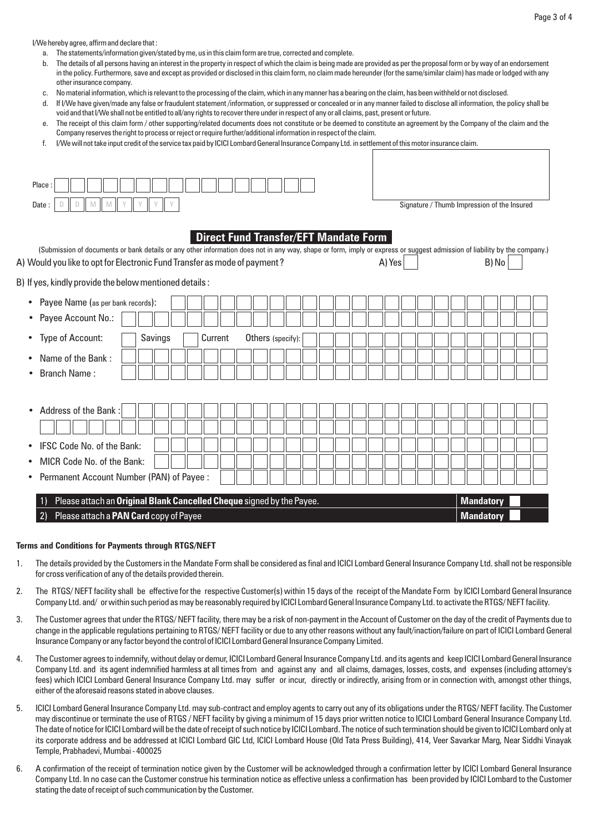I/We hereby agree, affirm and declare that :

- a. The statements/information given/stated by me, us in this claim form are true, corrected and complete.
- b. The details of all persons having an interest in the property in respect of which the claim is being made are provided as per the proposal form or by way of an endorsement in the policy. Furthermore, save and except as provided or disclosed in this claim form, no claim made hereunder (for the same/similar claim) has made or lodged with any other insurance company.
- c. No material information, which is relevant to the processing of the claim, which in any manner has a bearing on the claim, has been withheld or not disclosed.
- d. If I/We have given/made any false or fraudulent statement /information, or suppressed or concealed or in any manner failed to disclose all information, the policy shall be void and that I/We shall not be entitled to all/any rights to recover there under in respect of any or all claims, past, present or future.
- e. The receipt of this claim form / other supporting/related documents does not constitute or be deemed to constitute an agreement by the Company of the claim and the Company reserves the right to process or reject or require further/additional information in respect of the claim.
- f. I/We will not take input credit of the service tax paid by ICICI Lombard General Insurance Company Ltd. in settlement of this motor insurance claim.

| Place<br>D<br>M<br>M<br>Date:<br>D                                                                                                                                        | Y | Y |         |  |  |         |  |  |                                              |  |  |  |  |  |  |  |  | Signature / Thumb Impression of the Insured |  |  |  |
|---------------------------------------------------------------------------------------------------------------------------------------------------------------------------|---|---|---------|--|--|---------|--|--|----------------------------------------------|--|--|--|--|--|--|--|--|---------------------------------------------|--|--|--|
|                                                                                                                                                                           |   |   |         |  |  |         |  |  |                                              |  |  |  |  |  |  |  |  |                                             |  |  |  |
| (Submission of documents or bank details or any other information does not in any way, shape or form, imply or express or suggest admission of liability by the company.) |   |   |         |  |  |         |  |  | <b>Direct Fund Transfer/EFT Mandate Form</b> |  |  |  |  |  |  |  |  |                                             |  |  |  |
| B) No<br>A) Yes<br>A) Would you like to opt for Electronic Fund Transfer as mode of payment ?                                                                             |   |   |         |  |  |         |  |  |                                              |  |  |  |  |  |  |  |  |                                             |  |  |  |
| B) If yes, kindly provide the below mentioned details :                                                                                                                   |   |   |         |  |  |         |  |  |                                              |  |  |  |  |  |  |  |  |                                             |  |  |  |
| Payee Name (as per bank records):<br>$\bullet$                                                                                                                            |   |   |         |  |  |         |  |  |                                              |  |  |  |  |  |  |  |  |                                             |  |  |  |
| Payee Account No.:<br>$\bullet$                                                                                                                                           |   |   |         |  |  |         |  |  |                                              |  |  |  |  |  |  |  |  |                                             |  |  |  |
| Type of Account:<br>$\bullet$                                                                                                                                             |   |   | Savings |  |  | Current |  |  | Others (specify):                            |  |  |  |  |  |  |  |  |                                             |  |  |  |
| Name of the Bank:                                                                                                                                                         |   |   |         |  |  |         |  |  |                                              |  |  |  |  |  |  |  |  |                                             |  |  |  |
| <b>Branch Name:</b>                                                                                                                                                       |   |   |         |  |  |         |  |  |                                              |  |  |  |  |  |  |  |  |                                             |  |  |  |
|                                                                                                                                                                           |   |   |         |  |  |         |  |  |                                              |  |  |  |  |  |  |  |  |                                             |  |  |  |
| Address of the Bank:<br>$\bullet$                                                                                                                                         |   |   |         |  |  |         |  |  |                                              |  |  |  |  |  |  |  |  |                                             |  |  |  |
|                                                                                                                                                                           |   |   |         |  |  |         |  |  |                                              |  |  |  |  |  |  |  |  |                                             |  |  |  |
| IFSC Code No. of the Bank:<br>$\bullet$                                                                                                                                   |   |   |         |  |  |         |  |  |                                              |  |  |  |  |  |  |  |  |                                             |  |  |  |
| MICR Code No. of the Bank:<br>$\bullet$                                                                                                                                   |   |   |         |  |  |         |  |  |                                              |  |  |  |  |  |  |  |  |                                             |  |  |  |
| Permanent Account Number (PAN) of Payee :<br>$\bullet$                                                                                                                    |   |   |         |  |  |         |  |  |                                              |  |  |  |  |  |  |  |  |                                             |  |  |  |
| Please attach an Original Blank Cancelled Cheque signed by the Payee.                                                                                                     |   |   |         |  |  |         |  |  |                                              |  |  |  |  |  |  |  |  | <b>Mandatory</b>                            |  |  |  |
| Please attach a PAN Card copy of Payee<br>2)                                                                                                                              |   |   |         |  |  |         |  |  |                                              |  |  |  |  |  |  |  |  | <b>Mandatory</b>                            |  |  |  |
|                                                                                                                                                                           |   |   |         |  |  |         |  |  |                                              |  |  |  |  |  |  |  |  |                                             |  |  |  |

## **Terms and Conditions for Payments through RTGS/NEFT**

- 1. The details provided by the Customers in the Mandate Form shall be considered as final and ICICI Lombard General Insurance Company Ltd. shall not be responsible for cross verification of any of the details provided therein.
- 2. The RTGS/ NEFT facility shall be effective for the respective Customer(s) within 15 days of the receipt of the Mandate Form by ICICI Lombard General Insurance Company Ltd. and/ or within such period as may be reasonably required by ICICI Lombard General Insurance Company Ltd. to activate the RTGS/ NEFT facility.
- 3. The Customer agrees that under the RTGS/ NEFT facility, there may be a risk of non-payment in the Account of Customer on the day of the credit of Payments due to change in the applicable regulations pertaining to RTGS/ NEFT facility or due to any other reasons without any fault/inaction/failure on part of ICICI Lombard General Insurance Company or any factor beyond the control of ICICI Lombard General Insurance Company Limited.
- 4. The Customer agrees to indemnify, without delay or demur, ICICI Lombard General Insurance Company Ltd. and its agents and keep ICICI Lombard General Insurance Company Ltd. and its agent indemnified harmless at all times from and against any and all claims, damages, losses, costs, and expenses (including attorney's fees) which ICICI Lombard General Insurance Company Ltd. may suffer or incur, directly or indirectly, arising from or in connection with, amongst other things, either of the aforesaid reasons stated in above clauses.
- 5. ICICI Lombard General Insurance Company Ltd. may sub-contract and employ agents to carry out any of its obligations under the RTGS/ NEFT facility. The Customer may discontinue or terminate the use of RTGS / NEFT facility by giving a minimum of 15 days prior written notice to ICICI Lombard General Insurance Company Ltd. The date of notice for ICICI Lombard will be the date of receipt of such notice by ICICI Lombard. The notice of such termination should be given to ICICI Lombard only at its corporate address and be addressed at ICICI Lombard GIC Ltd, ICICI Lombard House (Old Tata Press Building), 414, Veer Savarkar Marg, Near Siddhi Vinayak Temple, Prabhadevi, Mumbai - 400025
- 6. A confirmation of the receipt of termination notice given by the Customer will be acknowledged through a confirmation letter by ICICI Lombard General Insurance Company Ltd. In no case can the Customer construe his termination notice as effective unless a confirmation has been provided by ICICI Lombard to the Customer stating the date of receipt of such communication by the Customer.